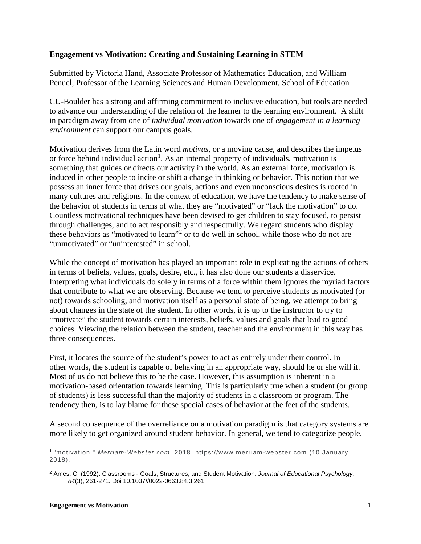## **Engagement vs Motivation: Creating and Sustaining Learning in STEM**

Submitted by Victoria Hand, Associate Professor of Mathematics Education, and William Penuel, Professor of the Learning Sciences and Human Development, School of Education

CU-Boulder has a strong and affirming commitment to inclusive education, but tools are needed to advance our understanding of the relation of the learner to the learning environment. A shift in paradigm away from one of *individual motivation* towards one of *engagement in a learning environment* can support our campus goals.

Motivation derives from the Latin word *motivus*, or a moving cause, and describes the impetus or force behind individual action<sup>[1](#page-0-0)</sup>. As an internal property of individuals, motivation is something that guides or directs our activity in the world. As an external force, motivation is induced in other people to incite or shift a change in thinking or behavior. This notion that we possess an inner force that drives our goals, actions and even unconscious desires is rooted in many cultures and religions. In the context of education, we have the tendency to make sense of the behavior of students in terms of what they are "motivated" or "lack the motivation" to do. Countless motivational techniques have been devised to get children to stay focused, to persist through challenges, and to act responsibly and respectfully. We regard students who display these behaviors as "motivated to learn"<sup>[2](#page-0-1)</sup> or to do well in school, while those who do not are "unmotivated" or "uninterested" in school.

While the concept of motivation has played an important role in explicating the actions of others in terms of beliefs, values, goals, desire, etc., it has also done our students a disservice. Interpreting what individuals do solely in terms of a force within them ignores the myriad factors that contribute to what we are observing. Because we tend to perceive students as motivated (or not) towards schooling, and motivation itself as a personal state of being, we attempt to bring about changes in the state of the student. In other words, it is up to the instructor to try to "motivate" the student towards certain interests, beliefs, values and goals that lead to good choices. Viewing the relation between the student, teacher and the environment in this way has three consequences.

First, it locates the source of the student's power to act as entirely under their control. In other words, the student is capable of behaving in an appropriate way, should he or she will it. Most of us do not believe this to be the case. However, this assumption is inherent in a motivation-based orientation towards learning. This is particularly true when a student (or group of students) is less successful than the majority of students in a classroom or program. The tendency then, is to lay blame for these special cases of behavior at the feet of the students.

A second consequence of the overreliance on a motivation paradigm is that category systems are more likely to get organized around student behavior. In general, we tend to categorize people,

<span id="page-0-0"></span> $\overline{a}$ <sup>1</sup> "motivation." *Merriam-Webster.com*. 2018. https://www.merriam-webster.com (10 January 2018).

<span id="page-0-1"></span><sup>2</sup> Ames, C. (1992). Classrooms - Goals, Structures, and Student Motivation. *Journal of Educational Psychology, 84*(3), 261-271. Doi 10.1037//0022-0663.84.3.261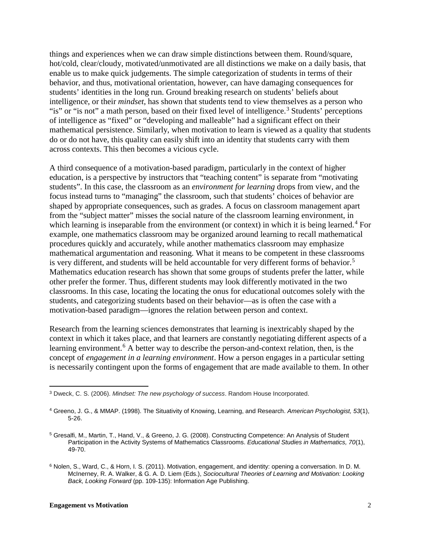things and experiences when we can draw simple distinctions between them. Round/square, hot/cold, clear/cloudy, motivated/unmotivated are all distinctions we make on a daily basis, that enable us to make quick judgements. The simple categorization of students in terms of their behavior, and thus, motivational orientation, however, can have damaging consequences for students' identities in the long run. Ground breaking research on students' beliefs about intelligence, or their *mindset*, has shown that students tend to view themselves as a person who "is" or "is not" a math person, based on their fixed level of intelligence.<sup>[3](#page-1-0)</sup> Students' perceptions of intelligence as "fixed" or "developing and malleable" had a significant effect on their mathematical persistence. Similarly, when motivation to learn is viewed as a quality that students do or do not have, this quality can easily shift into an identity that students carry with them across contexts. This then becomes a vicious cycle.

A third consequence of a motivation-based paradigm, particularly in the context of higher education, is a perspective by instructors that "teaching content" is separate from "motivating students". In this case, the classroom as an *environment for learning* drops from view, and the focus instead turns to "managing" the classroom, such that students' choices of behavior are shaped by appropriate consequences, such as grades. A focus on classroom management apart from the "subject matter" misses the social nature of the classroom learning environment, in which learning is inseparable from the environment (or context) in which it is being learned.<sup>[4](#page-1-1)</sup> For example, one mathematics classroom may be organized around learning to recall mathematical procedures quickly and accurately, while another mathematics classroom may emphasize mathematical argumentation and reasoning. What it means to be competent in these classrooms is very different, and students will be held accountable for very different forms of behavior.<sup>[5](#page-1-2)</sup> Mathematics education research has shown that some groups of students prefer the latter, while other prefer the former. Thus, different students may look differently motivated in the two classrooms. In this case, locating the locating the onus for educational outcomes solely with the students, and categorizing students based on their behavior—as is often the case with a motivation-based paradigm—ignores the relation between person and context.

Research from the learning sciences demonstrates that learning is inextricably shaped by the context in which it takes place, and that learners are constantly negotiating different aspects of a learning environment.<sup>[6](#page-1-3)</sup> A better way to describe the person-and-context relation, then, is the concept of *engagement in a learning environment*. How a person engages in a particular setting is necessarily contingent upon the forms of engagement that are made available to them. In other

<span id="page-1-0"></span> $\overline{a}$ <sup>3</sup> Dweck, C. S. (2006). *Mindset: The new psychology of success*. Random House Incorporated.

<span id="page-1-1"></span><sup>4</sup> Greeno, J. G., & MMAP. (1998). The Situativity of Knowing, Learning, and Research. *American Psychologist, 53*(1), 5-26.

<span id="page-1-2"></span><sup>5</sup> Gresalfi, M., Martin, T., Hand, V., & Greeno, J. G. (2008). Constructing Competence: An Analysis of Student Participation in the Activity Systems of Mathematics Classrooms. *Educational Studies in Mathematics, 70*(1), 49-70.

<span id="page-1-3"></span><sup>6</sup> Nolen, S., Ward, C., & Horn, I. S. (2011). Motivation, engagement, and identity: opening a conversation. In D. M. McInerney, R. A. Walker, & G. A. D. Liem (Eds.), *Sociocultural Theories of Learning and Motivation: Looking Back, Looking Forward* (pp. 109-135): Information Age Publishing.